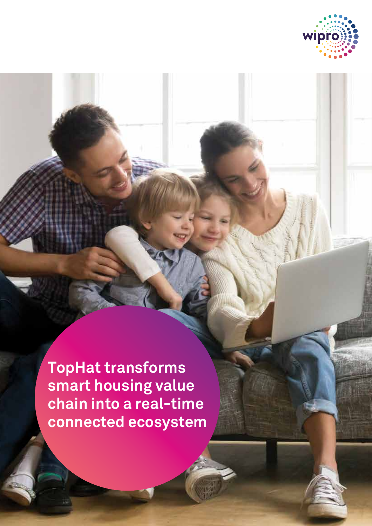

**TopHat transforms smart housing value chain into a real-time connected ecosystem**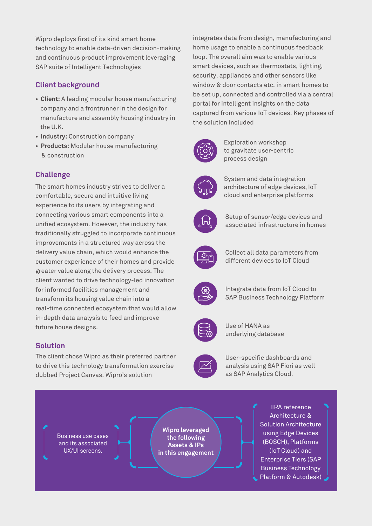Wipro deploys first of its kind smart home technology to enable data-driven decision-making and continuous product improvement leveraging SAP suite of Intelligent Technologies

## **Client background**

- **Client:** A leading modular house manufacturing company and a frontrunner in the design for manufacture and assembly housing industry in the U.K.
- **Industry:** Construction company
- **Products:** Modular house manufacturing & construction

# **Challenge**

The smart homes industry strives to deliver a comfortable, secure and intuitive living experience to its users by integrating and connecting various smart components into a unified ecosystem. However, the industry has traditionally struggled to incorporate continuous improvements in a structured way across the delivery value chain, which would enhance the customer experience of their homes and provide greater value along the delivery process. The client wanted to drive technology-led innovation for informed facilities management and transform its housing value chain into a real-time connected ecosystem that would allow in-depth data analysis to feed and improve future house designs.

## **Solution**

22.22.22

The client chose Wipro as their preferred partner to drive this technology transformation exercise dubbed Project Canvas. Wipro's solution

integrates data from design, manufacturing and home usage to enable a continuous feedback loop. The overall aim was to enable various smart devices, such as thermostats, lighting, security, appliances and other sensors like window & door contacts etc. in smart homes to be set up, connected and controlled via a central portal for intelligent insights on the data captured from various IoT devices. Key phases of the solution included



Exploration workshop to gravitate user-centric process design



System and data integration architecture of edge devices, IoT cloud and enterprise platforms



Setup of sensor/edge devices and associated infrastructure in homes



Collect all data parameters from different devices to IoT Cloud



Integrate data from IoT Cloud to SAP Business Technology Platform



Use of HANA as underlying database



User-specific dashboards and analysis using SAP Fiori as well as SAP Analytics Cloud.

Business use cases and its associated UX/UI screens.

**Wipro leveraged the following Assets & IPs in this engagement**

IIRA reference Architecture & Solution Architecture using Edge Devices (BOSCH), Platforms (IoT Cloud) and Enterprise Tiers (SAP Business Technology Platform & Autodesk)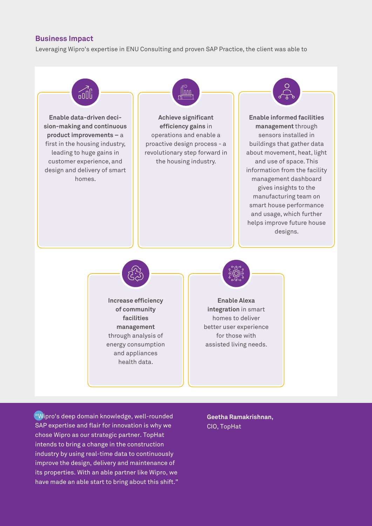### **Business Impact**

Leveraging Wipro's expertise in ENU Consulting and proven SAP Practice, the client was able to



"Wipro's deep domain knowledge, well-rounded SAP expertise and flair for innovation is why we chose Wipro as our strategic partner. TopHat intends to bring a change in the construction industry by using real-time data to continuously improve the design, delivery and maintenance of its properties. With an able partner like Wipro, we have made an able start to bring about this shift."

**Geetha Ramakrishnan,** CIO, TopHat